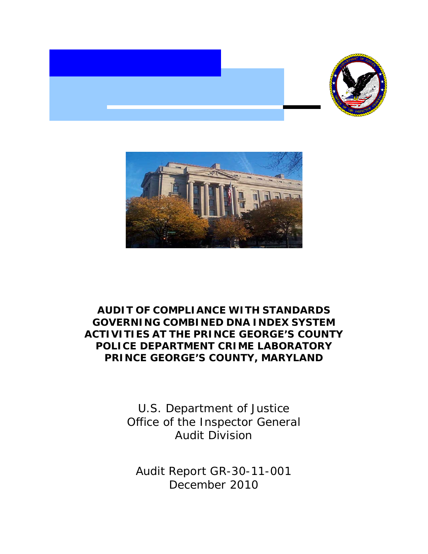



## **AUDIT OF COMPLIANCE WITH STANDARDS GOVERNING COMBINED DNA INDEX SYSTEM ACTIVITIES AT THE PRINCE GEORGE'S COUNTY POLICE DEPARTMENT CRIME LABORATORY PRINCE GEORGE'S COUNTY, MARYLAND**

U.S. Department of Justice Office of the Inspector General Audit Division

Audit Report GR-30-11-001 December 2010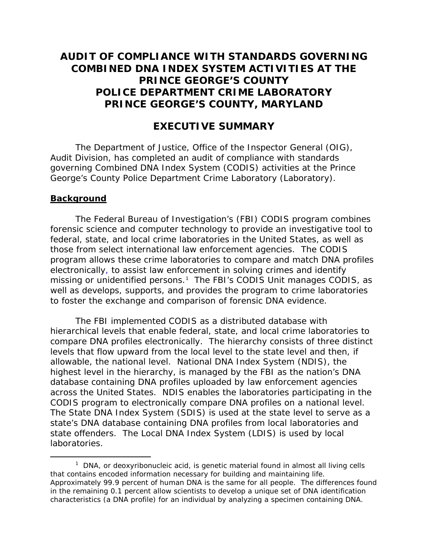## **AUDIT OF COMPLIANCE WITH STANDARDS GOVERNING COMBINED DNA INDEX SYSTEM ACTIVITIES AT THE PRINCE GEORGE'S COUNTY POLICE DEPARTMENT CRIME LABORATORY PRINCE GEORGE'S COUNTY, MARYLAND**

## **EXECUTIVE SUMMARY**

The Department of Justice, Office of the Inspector General (OIG), Audit Division, has completed an audit of compliance with standards governing Combined DNA Index System (CODIS) activities at the Prince George's County Police Department Crime Laboratory (Laboratory).

#### **Background**

The Federal Bureau of Investigation's (FBI) CODIS program combines forensic science and computer technology to provide an investigative tool to federal, state, and local crime laboratories in the United States, as well as those from select international law enforcement agencies. The CODIS program allows these crime laboratories to compare and match DNA profiles electronically, to assist law enforcement in solving crimes and identify missing or unidentified persons.<sup>[1](#page-1-0)</sup> The FBI's CODIS Unit manages CODIS, as well as develops, supports, and provides the program to crime laboratories to foster the exchange and comparison of forensic DNA evidence.

The FBI implemented CODIS as a distributed database with hierarchical levels that enable federal, state, and local crime laboratories to compare DNA profiles electronically. The hierarchy consists of three distinct levels that flow upward from the local level to the state level and then, if allowable, the national level. National DNA Index System (NDIS), the highest level in the hierarchy, is managed by the FBI as the nation's DNA database containing DNA profiles uploaded by law enforcement agencies across the United States. NDIS enables the laboratories participating in the CODIS program to electronically compare DNA profiles on a national level. The State DNA Index System (SDIS) is used at the state level to serve as a state's DNA database containing DNA profiles from local laboratories and state offenders. The Local DNA Index System (LDIS) is used by local laboratories.

<span id="page-1-0"></span> $\frac{1}{1}$  $1$  DNA, or deoxyribonucleic acid, is genetic material found in almost all living cells that contains encoded information necessary for building and maintaining life. Approximately 99.9 percent of human DNA is the same for all people. The differences found in the remaining 0.1 percent allow scientists to develop a unique set of DNA identification characteristics (a DNA profile) for an individual by analyzing a specimen containing DNA.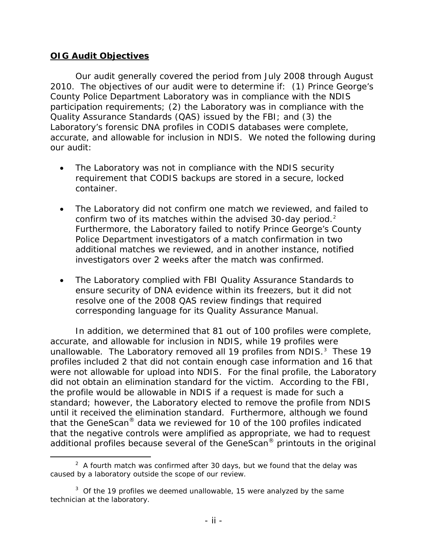### **OIG Audit Objectives**

Our audit generally covered the period from July 2008 through August 2010. The objectives of our audit were to determine if: (1) Prince George's County Police Department Laboratory was in compliance with the NDIS participation requirements; (2) the Laboratory was in compliance with the Quality Assurance Standards (QAS) issued by the FBI; and (3) the Laboratory's forensic DNA profiles in CODIS databases were complete, accurate, and allowable for inclusion in NDIS. We noted the following during our audit:

- The Laboratory was not in compliance with the NDIS security requirement that CODIS backups are stored in a secure, locked container.
- The Laboratory did not confirm one match we reviewed, and failed to confirm two of its matches within the advised 30-day period.<sup>[2](#page-2-0)</sup> Furthermore, the Laboratory failed to notify Prince George's County Police Department investigators of a match confirmation in two additional matches we reviewed, and in another instance, notified investigators over 2 weeks after the match was confirmed.
- The Laboratory complied with FBI Quality Assurance Standards to ensure security of DNA evidence within its freezers, but it did not resolve one of the 2008 QAS review findings that required corresponding language for its Quality Assurance Manual.

In addition, we determined that 81 out of 100 profiles were complete, accurate, and allowable for inclusion in NDIS, while 19 profiles were unallowable. The Laboratory removed all 19 profiles from NDIS.<sup>[3](#page-2-1)</sup> These 19 profiles included 2 that did not contain enough case information and 16 that were not allowable for upload into NDIS. For the final profile, the Laboratory did not obtain an elimination standard for the victim. According to the FBI, the profile would be allowable in NDIS if a request is made for such a standard; however, the Laboratory elected to remove the profile from NDIS until it received the elimination standard. Furthermore, although we found that the GeneScan® data we reviewed for 10 of the 100 profiles indicated that the negative controls were amplified as appropriate, we had to request additional profiles because several of the GeneScan® printouts in the original

<span id="page-2-0"></span> $\overline{\phantom{a}}$  2  $A<sup>2</sup>$  A fourth match was confirmed after 30 days, but we found that the delay was caused by a laboratory outside the scope of our review.

<span id="page-2-1"></span> $3$  Of the 19 profiles we deemed unallowable, 15 were analyzed by the same technician at the laboratory.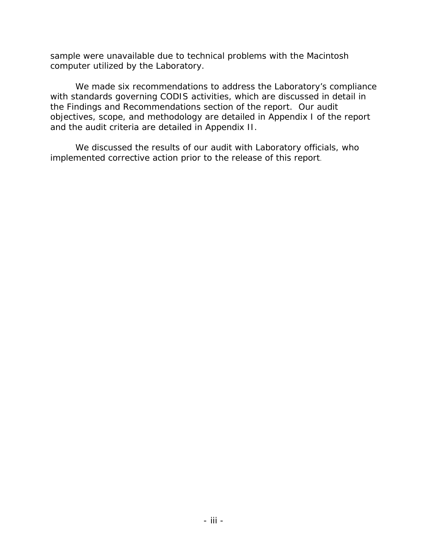sample were unavailable due to technical problems with the Macintosh computer utilized by the Laboratory.

We made six recommendations to address the Laboratory's compliance with standards governing CODIS activities, which are discussed in detail in the Findings and Recommendations section of the report. Our audit objectives, scope, and methodology are detailed in Appendix I of the report and the audit criteria are detailed in Appendix II.

We discussed the results of our audit with Laboratory officials, who implemented corrective action prior to the release of this report.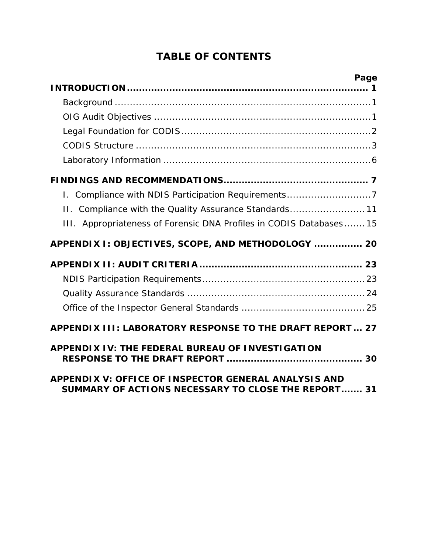# **TABLE OF CONTENTS**

| Page                                                                                                               |
|--------------------------------------------------------------------------------------------------------------------|
|                                                                                                                    |
|                                                                                                                    |
|                                                                                                                    |
|                                                                                                                    |
|                                                                                                                    |
|                                                                                                                    |
| I. Compliance with NDIS Participation Requirements7                                                                |
| II. Compliance with the Quality Assurance Standards 11                                                             |
| III. Appropriateness of Forensic DNA Profiles in CODIS Databases 15                                                |
| APPENDIX I: OBJECTIVES, SCOPE, AND METHODOLOGY  20                                                                 |
|                                                                                                                    |
|                                                                                                                    |
|                                                                                                                    |
|                                                                                                                    |
| APPENDIX III: LABORATORY RESPONSE TO THE DRAFT REPORT 27                                                           |
| <b>APPENDIX IV: THE FEDERAL BUREAU OF INVESTIGATION</b>                                                            |
| <b>APPENDIX V: OFFICE OF INSPECTOR GENERAL ANALYSIS AND</b><br>SUMMARY OF ACTIONS NECESSARY TO CLOSE THE REPORT 31 |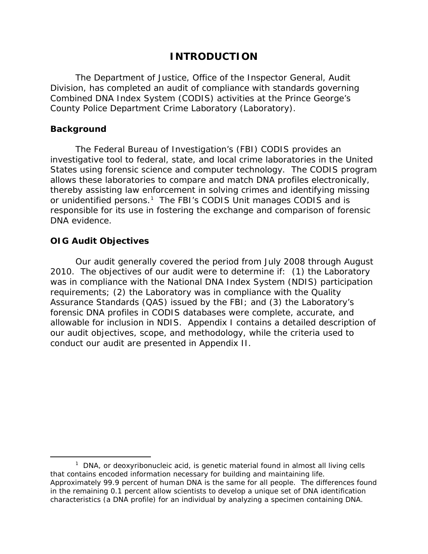## **INTRODUCTION**

<span id="page-5-0"></span>The Department of Justice, Office of the Inspector General, Audit Division, has completed an audit of compliance with standards governing Combined DNA Index System (CODIS) activities at the Prince George's County Police Department Crime Laboratory (Laboratory).

#### <span id="page-5-1"></span>**Background**

The Federal Bureau of Investigation's (FBI) CODIS provides an investigative tool to federal, state, and local crime laboratories in the United States using forensic science and computer technology. The CODIS program allows these laboratories to compare and match DNA profiles electronically, thereby assisting law enforcement in solving crimes and identifying missing or unidentified persons.<sup>[1](#page-5-3)</sup> The FBI's CODIS Unit manages CODIS and is responsible for its use in fostering the exchange and comparison of forensic DNA evidence.

### <span id="page-5-2"></span>**OIG Audit Objectives**

Our audit generally covered the period from July 2008 through August 2010. The objectives of our audit were to determine if: (1) the Laboratory was in compliance with the National DNA Index System (NDIS) participation requirements; (2) the Laboratory was in compliance with the Quality Assurance Standards (QAS) issued by the FBI; and (3) the Laboratory's forensic DNA profiles in CODIS databases were complete, accurate, and allowable for inclusion in NDIS. Appendix I contains a detailed description of our audit objectives, scope, and methodology, while the criteria used to conduct our audit are presented in Appendix II.

<span id="page-5-3"></span> $\frac{1}{1}$  $1$  DNA, or deoxyribonucleic acid, is genetic material found in almost all living cells that contains encoded information necessary for building and maintaining life. Approximately 99.9 percent of human DNA is the same for all people. The differences found in the remaining 0.1 percent allow scientists to develop a unique set of DNA identification characteristics (a DNA profile) for an individual by analyzing a specimen containing DNA.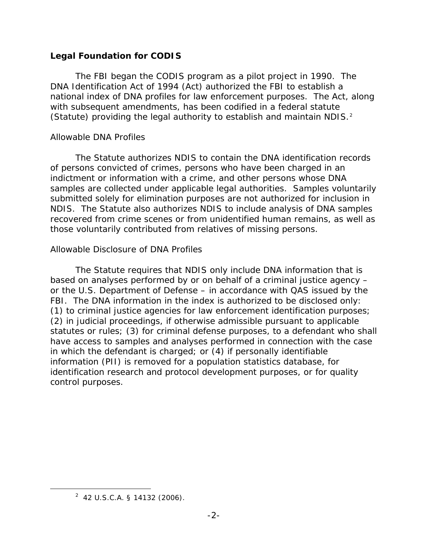### <span id="page-6-0"></span>**Legal Foundation for CODIS**

The FBI began the CODIS program as a pilot project in 1990. The DNA Identification Act of 1994 (Act) authorized the FBI to establish a national index of DNA profiles for law enforcement purposes. The Act, along with subsequent amendments, has been codified in a federal statute (Statute) providing the legal authority to establish and maintain NDIS.<sup>[2](#page-6-1)</sup>

## *Allowable DNA Profiles*

The Statute authorizes NDIS to contain the DNA identification records of persons convicted of crimes, persons who have been charged in an indictment or information with a crime, and other persons whose DNA samples are collected under applicable legal authorities. Samples voluntarily submitted solely for elimination purposes are not authorized for inclusion in NDIS. The Statute also authorizes NDIS to include analysis of DNA samples recovered from crime scenes or from unidentified human remains, as well as those voluntarily contributed from relatives of missing persons.

## *Allowable Disclosure of DNA Profiles*

The Statute requires that NDIS only include DNA information that is based on analyses performed by or on behalf of a criminal justice agency – or the U.S. Department of Defense – in accordance with QAS issued by the FBI. The DNA information in the index is authorized to be disclosed only: (1) to criminal justice agencies for law enforcement identification purposes; (2) in judicial proceedings, if otherwise admissible pursuant to applicable statutes or rules; (3) for criminal defense purposes, to a defendant who shall have access to samples and analyses performed in connection with the case in which the defendant is charged; or (4) if personally identifiable information (PII) is removed for a population statistics database, for identification research and protocol development purposes, or for quality control purposes.

<span id="page-6-1"></span> $\overline{\phantom{a}}$  2  $2$  42 U.S.C.A. § 14132 (2006).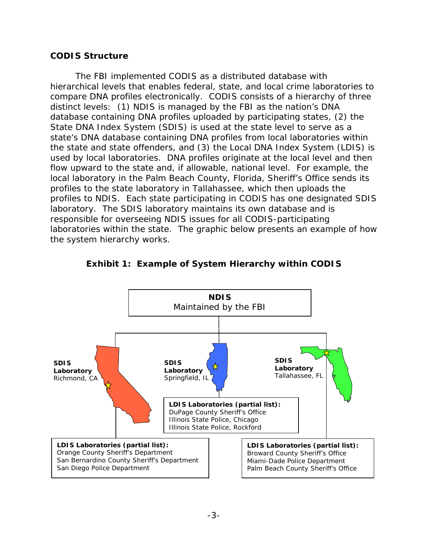#### <span id="page-7-0"></span>**CODIS Structure**

The FBI implemented CODIS as a distributed database with hierarchical levels that enables federal, state, and local crime laboratories to compare DNA profiles electronically. CODIS consists of a hierarchy of three distinct levels: (1) NDIS is managed by the FBI as the nation's DNA database containing DNA profiles uploaded by participating states, (2) the State DNA Index System (SDIS) is used at the state level to serve as a state's DNA database containing DNA profiles from local laboratories within the state and state offenders, and (3) the Local DNA Index System (LDIS) is used by local laboratories. DNA profiles originate at the local level and then flow upward to the state and, if allowable, national level. For example, the local laboratory in the Palm Beach County, Florida, Sheriff's Office sends its profiles to the state laboratory in Tallahassee, which then uploads the profiles to NDIS. Each state participating in CODIS has one designated SDIS laboratory. The SDIS laboratory maintains its own database and is responsible for overseeing NDIS issues for all CODIS-participating laboratories within the state. The graphic below presents an example of how the system hierarchy works.



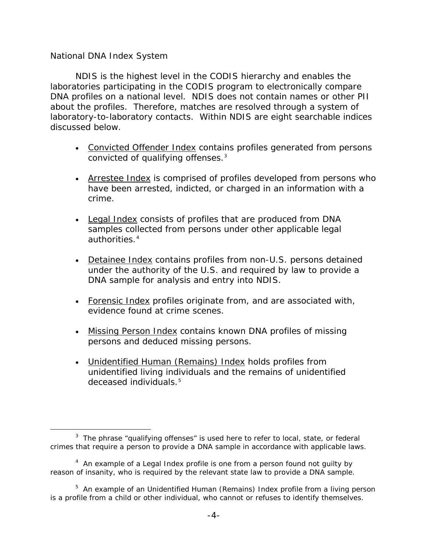#### *National DNA Index System*

NDIS is the highest level in the CODIS hierarchy and enables the laboratories participating in the CODIS program to electronically compare DNA profiles on a national level. NDIS does not contain names or other PII about the profiles. Therefore, matches are resolved through a system of laboratory-to-laboratory contacts. Within NDIS are eight searchable indices discussed below.

- Convicted Offender Index contains profiles generated from persons convicted of qualifying offenses.<sup>[3](#page-8-0)</sup>
- Arrestee Index is comprised of profiles developed from persons who have been arrested, indicted, or charged in an information with a crime.
- Legal Index consists of profiles that are produced from DNA samples collected from persons under other applicable legal authorities.<sup>[4](#page-8-1)</sup>
- Detainee Index contains profiles from non-U.S. persons detained under the authority of the U.S. and required by law to provide a DNA sample for analysis and entry into NDIS.
- Forensic Index profiles originate from, and are associated with, evidence found at crime scenes.
- Missing Person Index contains known DNA profiles of missing persons and deduced missing persons.
- Unidentified Human (Remains) Index holds profiles from unidentified living individuals and the remains of unidentified deceased individuals.<sup>[5](#page-8-2)</sup>

<span id="page-8-0"></span> $\frac{1}{3}$  $3$  The phrase "qualifying offenses" is used here to refer to local, state, or federal crimes that require a person to provide a DNA sample in accordance with applicable laws.

<span id="page-8-1"></span> $4$  An example of a Legal Index profile is one from a person found not guilty by reason of insanity, who is required by the relevant state law to provide a DNA sample.

<span id="page-8-2"></span><sup>&</sup>lt;sup>5</sup> An example of an Unidentified Human (Remains) Index profile from a living person is a profile from a child or other individual, who cannot or refuses to identify themselves.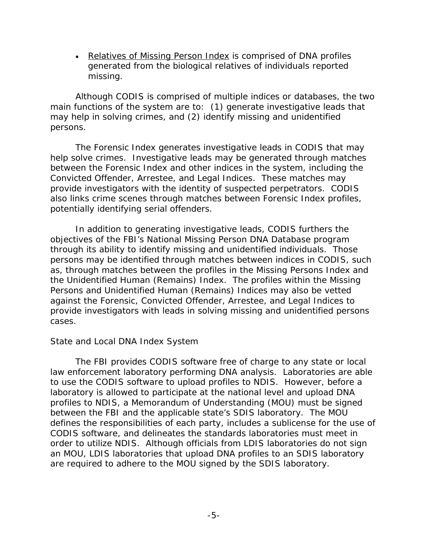• Relatives of Missing Person Index is comprised of DNA profiles generated from the biological relatives of individuals reported missing.

Although CODIS is comprised of multiple indices or databases, the two main functions of the system are to: (1) generate investigative leads that may help in solving crimes, and (2) identify missing and unidentified persons.

The Forensic Index generates investigative leads in CODIS that may help solve crimes. Investigative leads may be generated through matches between the Forensic Index and other indices in the system, including the Convicted Offender, Arrestee, and Legal Indices. These matches may provide investigators with the identity of suspected perpetrators. CODIS also links crime scenes through matches between Forensic Index profiles, potentially identifying serial offenders.

In addition to generating investigative leads, CODIS furthers the objectives of the FBI's National Missing Person DNA Database program through its ability to identify missing and unidentified individuals. Those persons may be identified through matches between indices in CODIS, such as, through matches between the profiles in the Missing Persons Index and the Unidentified Human (Remains) Index. The profiles within the Missing Persons and Unidentified Human (Remains) Indices may also be vetted against the Forensic, Convicted Offender, Arrestee, and Legal Indices to provide investigators with leads in solving missing and unidentified persons cases.

### *State and Local DNA Index System*

The FBI provides CODIS software free of charge to any state or local law enforcement laboratory performing DNA analysis. Laboratories are able to use the CODIS software to upload profiles to NDIS. However, before a laboratory is allowed to participate at the national level and upload DNA profiles to NDIS, a Memorandum of Understanding (MOU) must be signed between the FBI and the applicable state's SDIS laboratory. The MOU defines the responsibilities of each party, includes a sublicense for the use of CODIS software, and delineates the standards laboratories must meet in order to utilize NDIS. Although officials from LDIS laboratories do not sign an MOU, LDIS laboratories that upload DNA profiles to an SDIS laboratory are required to adhere to the MOU signed by the SDIS laboratory.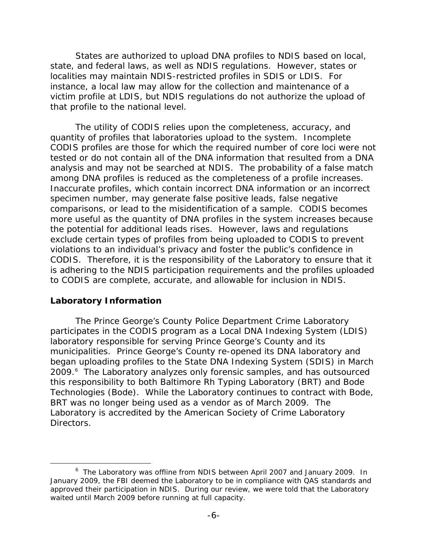States are authorized to upload DNA profiles to NDIS based on local, state, and federal laws, as well as NDIS regulations. However, states or localities may maintain NDIS-restricted profiles in SDIS or LDIS. For instance, a local law may allow for the collection and maintenance of a victim profile at LDIS, but NDIS regulations do not authorize the upload of that profile to the national level.

The utility of CODIS relies upon the completeness, accuracy, and quantity of profiles that laboratories upload to the system. Incomplete CODIS profiles are those for which the required number of core loci were not tested or do not contain all of the DNA information that resulted from a DNA analysis and may not be searched at NDIS. The probability of a false match among DNA profiles is reduced as the completeness of a profile increases. Inaccurate profiles, which contain incorrect DNA information or an incorrect specimen number, may generate false positive leads, false negative comparisons, or lead to the misidentification of a sample. CODIS becomes more useful as the quantity of DNA profiles in the system increases because the potential for additional leads rises. However, laws and regulations exclude certain types of profiles from being uploaded to CODIS to prevent violations to an individual's privacy and foster the public's confidence in CODIS. Therefore, it is the responsibility of the Laboratory to ensure that it is adhering to the NDIS participation requirements and the profiles uploaded to CODIS are complete, accurate, and allowable for inclusion in NDIS.

#### <span id="page-10-0"></span>**Laboratory Information**

The Prince George's County Police Department Crime Laboratory participates in the CODIS program as a Local DNA Indexing System (LDIS) laboratory responsible for serving Prince George's County and its municipalities. Prince George's County re-opened its DNA laboratory and began uploading profiles to the State DNA Indexing System (SDIS) in March 2009.<sup>[6](#page-10-1)</sup> The Laboratory analyzes only forensic samples, and has outsourced this responsibility to both Baltimore Rh Typing Laboratory (BRT) and Bode Technologies (Bode). While the Laboratory continues to contract with Bode, BRT was no longer being used as a vendor as of March 2009. The Laboratory is accredited by the American Society of Crime Laboratory Directors.

<span id="page-10-1"></span> $\overline{\phantom{0}}$  The Laboratory was offline from NDIS between April 2007 and January 2009. In January 2009, the FBI deemed the Laboratory to be in compliance with QAS standards and approved their participation in NDIS. During our review, we were told that the Laboratory waited until March 2009 before running at full capacity.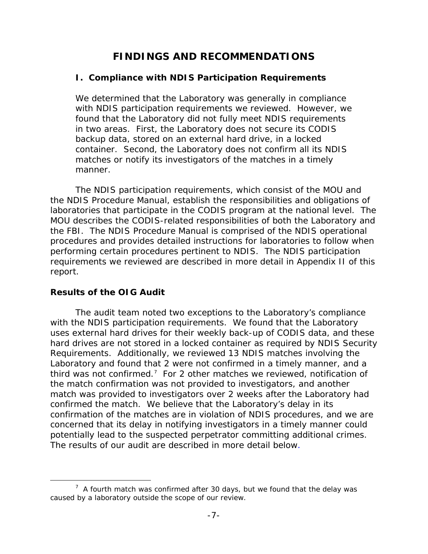## **FINDINGS AND RECOMMENDATIONS**

### <span id="page-11-1"></span><span id="page-11-0"></span>**I. Compliance with NDIS Participation Requirements**

We determined that the Laboratory was generally in compliance with NDIS participation requirements we reviewed. However, we found that the Laboratory did not fully meet NDIS requirements in two areas. First, the Laboratory does not secure its CODIS backup data, stored on an external hard drive, in a locked container. Second, the Laboratory does not confirm all its NDIS matches or notify its investigators of the matches in a timely manner.

The NDIS participation requirements, which consist of the MOU and the NDIS Procedure Manual, establish the responsibilities and obligations of laboratories that participate in the CODIS program at the national level. The MOU describes the CODIS-related responsibilities of both the Laboratory and the FBI. The NDIS Procedure Manual is comprised of the NDIS operational procedures and provides detailed instructions for laboratories to follow when performing certain procedures pertinent to NDIS. The NDIS participation requirements we reviewed are described in more detail in Appendix II of this report.

## **Results of the OIG Audit**

The audit team noted two exceptions to the Laboratory's compliance with the NDIS participation requirements. We found that the Laboratory uses external hard drives for their weekly back-up of CODIS data, and these hard drives are not stored in a locked container as required by NDIS Security Requirements. Additionally, we reviewed 13 NDIS matches involving the Laboratory and found that 2 were not confirmed in a timely manner, and a third was not confirmed.<sup>[7](#page-11-2)</sup> For 2 other matches we reviewed, notification of the match confirmation was not provided to investigators, and another match was provided to investigators over 2 weeks after the Laboratory had confirmed the match. We believe that the Laboratory's delay in its confirmation of the matches are in violation of NDIS procedures, and we are concerned that its delay in notifying investigators in a timely manner could potentially lead to the suspected perpetrator committing additional crimes. The results of our audit are described in more detail below.

<span id="page-11-2"></span> <sup>7</sup>  $\frac{7}{1}$  A fourth match was confirmed after 30 days, but we found that the delay was caused by a laboratory outside the scope of our review.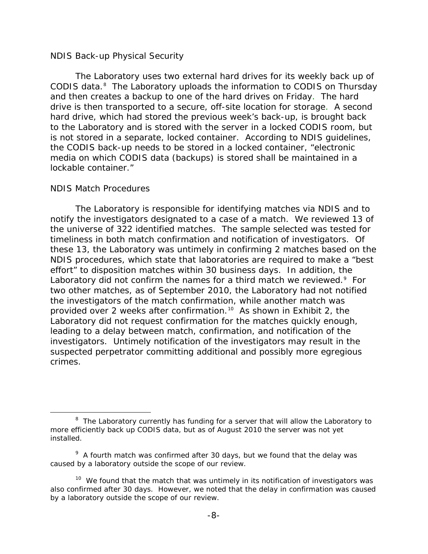#### *NDIS Back-up Physical Security*

The Laboratory uses two external hard drives for its weekly back up of CODIS data.<sup>[8](#page-12-0)</sup> The Laboratory uploads the information to CODIS on Thursday and then creates a backup to one of the hard drives on Friday. The hard drive is then transported to a secure, off-site location for storage. A second hard drive, which had stored the previous week's back-up, is brought back to the Laboratory and is stored with the server in a locked CODIS room, but is not stored in a separate, locked container. According to NDIS guidelines, the CODIS back-up needs to be stored in a locked container, "electronic media on which CODIS data (backups) is stored shall be maintained in a lockable container."

#### *NDIS Match Procedures*

The Laboratory is responsible for identifying matches via NDIS and to notify the investigators designated to a case of a match. We reviewed 13 of the universe of 322 identified matches. The sample selected was tested for timeliness in both match confirmation and notification of investigators. Of these 13, the Laboratory was untimely in confirming 2 matches based on the NDIS procedures, which state that laboratories are required to make a "best effort" to disposition matches within 30 business days. In addition, the Laboratory did not confirm the names for a third match we reviewed.<sup>[9](#page-12-1)</sup> For two other matches, as of September 2010, the Laboratory had not notified the investigators of the match confirmation, while another match was provided over 2 weeks after confirmation.<sup>[10](#page-12-2)</sup> As shown in Exhibit 2, the Laboratory did not request confirmation for the matches quickly enough, leading to a delay between match, confirmation, and notification of the investigators. Untimely notification of the investigators may result in the suspected perpetrator committing additional and possibly more egregious crimes.

<span id="page-12-0"></span> <sup>8</sup>  $8$  The Laboratory currently has funding for a server that will allow the Laboratory to more efficiently back up CODIS data, but as of August 2010 the server was not yet installed.

<span id="page-12-1"></span> $9$  A fourth match was confirmed after 30 days, but we found that the delay was caused by a laboratory outside the scope of our review.

<span id="page-12-2"></span><sup>&</sup>lt;sup>10</sup> We found that the match that was untimely in its notification of investigators was also confirmed after 30 days. However, we noted that the delay in confirmation was caused by a laboratory outside the scope of our review.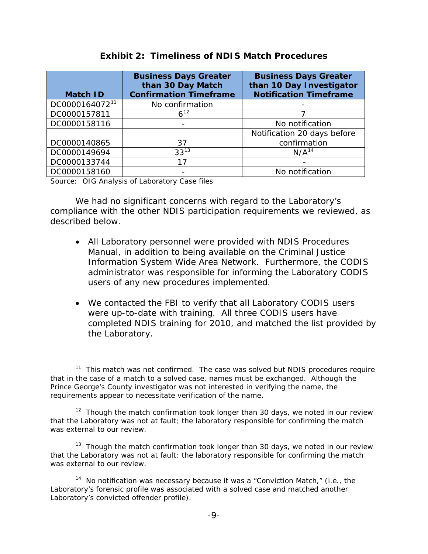| <b>Match ID</b>            | <b>Business Days Greater</b><br>than 30 Day Match<br><b>Confirmation Timeframe</b> | <b>Business Days Greater</b><br>than 10 Day Investigator<br><b>Notification Timeframe</b> |
|----------------------------|------------------------------------------------------------------------------------|-------------------------------------------------------------------------------------------|
| DC0000164072 <sup>11</sup> | No confirmation                                                                    |                                                                                           |
| DC0000157811               | $6^{12}$                                                                           |                                                                                           |
| DC0000158116               |                                                                                    | No notification                                                                           |
|                            |                                                                                    | Notification 20 days before                                                               |
| DC0000140865               | 37                                                                                 | confirmation                                                                              |
| DC0000149694               | $33^{13}$                                                                          | N/A <sup>14</sup>                                                                         |
| DC0000133744               | 17                                                                                 |                                                                                           |
| DC0000158160               |                                                                                    | No notification                                                                           |

#### **Exhibit 2: Timeliness of NDIS Match Procedures**

Source: OIG Analysis of Laboratory Case files

We had no significant concerns with regard to the Laboratory's compliance with the other NDIS participation requirements we reviewed, as described below.

- All Laboratory personnel were provided with NDIS Procedures Manual, in addition to being available on the Criminal Justice Information System Wide Area Network. Furthermore, the CODIS administrator was responsible for informing the Laboratory CODIS users of any new procedures implemented.
- We contacted the FBI to verify that all Laboratory CODIS users were up-to-date with training. All three CODIS users have completed NDIS training for 2010, and matched the list provided by the Laboratory.

<span id="page-13-0"></span> $11$  This match was not confirmed. The case was solved but NDIS procedures require that in the case of a match to a solved case, names must be exchanged. Although the Prince George's County investigator was not interested in verifying the name, the requirements appear to necessitate verification of the name.

<span id="page-13-1"></span> $12$  Though the match confirmation took longer than 30 days, we noted in our review that the Laboratory was not at fault; the laboratory responsible for confirming the match was external to our review.

<span id="page-13-2"></span> $13$  Though the match confirmation took longer than 30 days, we noted in our review that the Laboratory was not at fault; the laboratory responsible for confirming the match was external to our review.

<span id="page-13-3"></span> $14$  No notification was necessary because it was a "Conviction Match," (i.e., the Laboratory's forensic profile was associated with a solved case and matched another Laboratory's convicted offender profile).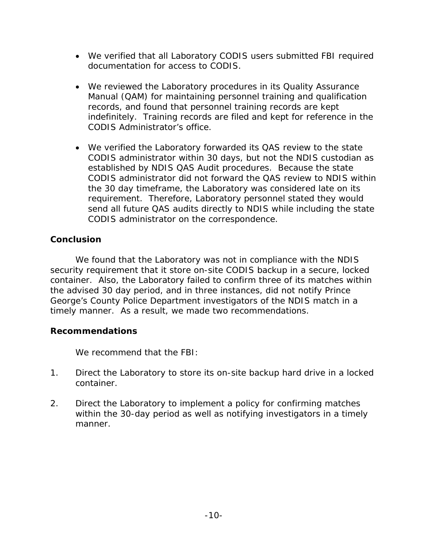- We verified that all Laboratory CODIS users submitted FBI required documentation for access to CODIS.
- We reviewed the Laboratory procedures in its Quality Assurance Manual (QAM) for maintaining personnel training and qualification records, and found that personnel training records are kept indefinitely. Training records are filed and kept for reference in the CODIS Administrator's office.
- We verified the Laboratory forwarded its QAS review to the state CODIS administrator within 30 days, but not the NDIS custodian as established by NDIS QAS Audit procedures. Because the state CODIS administrator did not forward the QAS review to NDIS within the 30 day timeframe, the Laboratory was considered late on its requirement. Therefore, Laboratory personnel stated they would send all future QAS audits directly to NDIS while including the state CODIS administrator on the correspondence.

## **Conclusion**

We found that the Laboratory was not in compliance with the NDIS security requirement that it store on-site CODIS backup in a secure, locked container. Also, the Laboratory failed to confirm three of its matches within the advised 30 day period, and in three instances, did not notify Prince George's County Police Department investigators of the NDIS match in a timely manner. As a result, we made two recommendations.

## **Recommendations**

We recommend that the FBI:

- 1. Direct the Laboratory to store its on-site backup hard drive in a locked container.
- 2. Direct the Laboratory to implement a policy for confirming matches within the 30-day period as well as notifying investigators in a timely manner.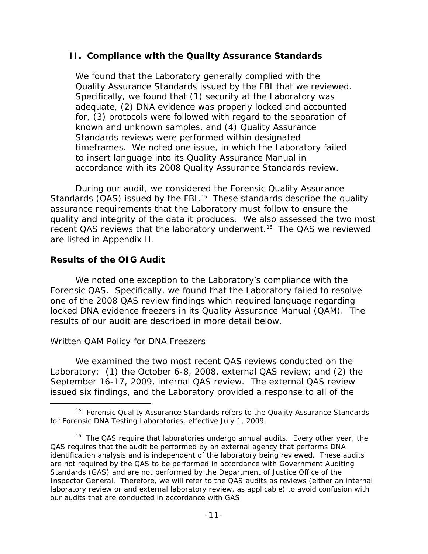### <span id="page-15-0"></span>**II. Compliance with the Quality Assurance Standards**

We found that the Laboratory generally complied with the Quality Assurance Standards issued by the FBI that we reviewed. Specifically, we found that (1) security at the Laboratory was adequate, (2) DNA evidence was properly locked and accounted for, (3) protocols were followed with regard to the separation of known and unknown samples, and (4) Quality Assurance Standards reviews were performed within designated timeframes. We noted one issue, in which the Laboratory failed to insert language into its Quality Assurance Manual in accordance with its 2008 Quality Assurance Standards review.

During our audit, we considered the Forensic Quality Assurance Standards (QAS) issued by the FBI.<sup>[15](#page-15-1)</sup> These standards describe the quality assurance requirements that the Laboratory must follow to ensure the quality and integrity of the data it produces. We also assessed the two most recent QAS reviews that the laboratory underwent.<sup>[16](#page-15-2)</sup> The QAS we reviewed are listed in Appendix II.

### **Results of the OIG Audit**

We noted one exception to the Laboratory's compliance with the Forensic QAS. Specifically, we found that the Laboratory failed to resolve one of the 2008 QAS review findings which required language regarding locked DNA evidence freezers in its Quality Assurance Manual (QAM). The results of our audit are described in more detail below.

### *Written QAM Policy for DNA Freezers*

We examined the two most recent QAS reviews conducted on the Laboratory: (1) the October 6-8, 2008, external QAS review; and (2) the September 16-17, 2009, internal QAS review. The external QAS review issued six findings, and the Laboratory provided a response to all of the

<span id="page-15-1"></span><sup>&</sup>lt;sup>15</sup> Forensic Quality Assurance Standards refers to the Quality Assurance Standards for Forensic DNA Testing Laboratories, effective July 1, 2009.

<span id="page-15-2"></span><sup>&</sup>lt;sup>16</sup> The QAS require that laboratories undergo annual audits. Every other year, the QAS requires that the audit be performed by an external agency that performs DNA identification analysis and is independent of the laboratory being reviewed. These audits are not required by the QAS to be performed in accordance with *Government Auditing Standards* (GAS) and are not performed by the Department of Justice Office of the Inspector General. Therefore, we will refer to the QAS audits as reviews (either an internal laboratory review or and external laboratory review, as applicable) to avoid confusion with our audits that are conducted in accordance with GAS.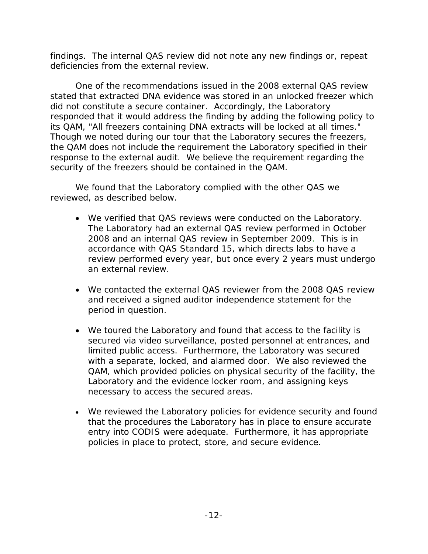findings. The internal QAS review did not note any new findings or, repeat deficiencies from the external review.

One of the recommendations issued in the 2008 external QAS review stated that extracted DNA evidence was stored in an unlocked freezer which did not constitute a secure container. Accordingly, the Laboratory responded that it would address the finding by adding the following policy to its QAM, "All freezers containing DNA extracts will be locked at all times." Though we noted during our tour that the Laboratory secures the freezers, the QAM does not include the requirement the Laboratory specified in their response to the external audit. We believe the requirement regarding the security of the freezers should be contained in the QAM.

We found that the Laboratory complied with the other QAS we reviewed, as described below.

- We verified that QAS reviews were conducted on the Laboratory. The Laboratory had an external QAS review performed in October 2008 and an internal QAS review in September 2009. This is in accordance with QAS Standard 15, which directs labs to have a review performed every year, but once every 2 years must undergo an external review.
- We contacted the external QAS reviewer from the 2008 QAS review and received a signed auditor independence statement for the period in question.
- We toured the Laboratory and found that access to the facility is secured via video surveillance, posted personnel at entrances, and limited public access. Furthermore, the Laboratory was secured with a separate, locked, and alarmed door. We also reviewed the QAM, which provided policies on physical security of the facility, the Laboratory and the evidence locker room, and assigning keys necessary to access the secured areas.
- We reviewed the Laboratory policies for evidence security and found that the procedures the Laboratory has in place to ensure accurate entry into CODIS were adequate. Furthermore, it has appropriate policies in place to protect, store, and secure evidence.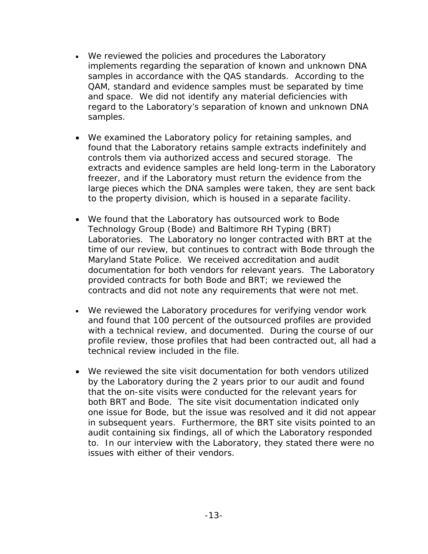- We reviewed the policies and procedures the Laboratory implements regarding the separation of known and unknown DNA samples in accordance with the QAS standards. According to the QAM, standard and evidence samples must be separated by time and space. We did not identify any material deficiencies with regard to the Laboratory's separation of known and unknown DNA samples.
- We examined the Laboratory policy for retaining samples, and found that the Laboratory retains sample extracts indefinitely and controls them via authorized access and secured storage. The extracts and evidence samples are held long-term in the Laboratory freezer, and if the Laboratory must return the evidence from the large pieces which the DNA samples were taken, they are sent back to the property division, which is housed in a separate facility.
- We found that the Laboratory has outsourced work to Bode Technology Group (Bode) and Baltimore RH Typing (BRT) Laboratories. The Laboratory no longer contracted with BRT at the time of our review, but continues to contract with Bode through the Maryland State Police. We received accreditation and audit documentation for both vendors for relevant years. The Laboratory provided contracts for both Bode and BRT; we reviewed the contracts and did not note any requirements that were not met.
- We reviewed the Laboratory procedures for verifying vendor work and found that 100 percent of the outsourced profiles are provided with a technical review, and documented. During the course of our profile review, those profiles that had been contracted out, all had a technical review included in the file.
- We reviewed the site visit documentation for both vendors utilized by the Laboratory during the 2 years prior to our audit and found that the on-site visits were conducted for the relevant years for both BRT and Bode. The site visit documentation indicated only one issue for Bode, but the issue was resolved and it did not appear in subsequent years. Furthermore, the BRT site visits pointed to an audit containing six findings, all of which the Laboratory responded to. In our interview with the Laboratory, they stated there were no issues with either of their vendors.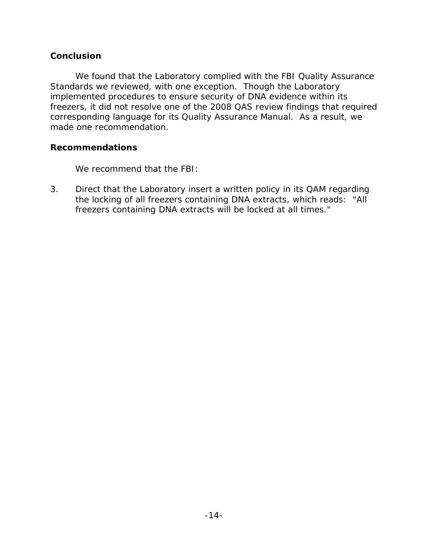### **Conclusion**

We found that the Laboratory complied with the FBI Quality Assurance Standards we reviewed, with one exception. Though the Laboratory implemented procedures to ensure security of DNA evidence within its freezers, it did not resolve one of the 2008 QAS review findings that required corresponding language for its Quality Assurance Manual. As a result, we made one recommendation.

### **Recommendations**

We recommend that the FBI:

3. Direct that the Laboratory insert a written policy in its QAM regarding the locking of all freezers containing DNA extracts, which reads: "All freezers containing DNA extracts will be locked at all times."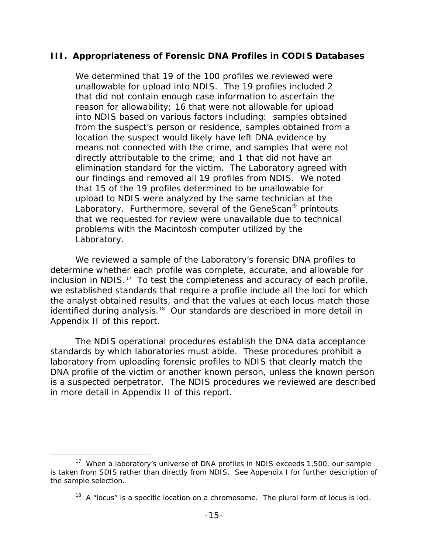### <span id="page-19-0"></span>**III. Appropriateness of Forensic DNA Profiles in CODIS Databases**

We determined that 19 of the 100 profiles we reviewed were unallowable for upload into NDIS. The 19 profiles included 2 that did not contain enough case information to ascertain the reason for allowability; 16 that were not allowable for upload into NDIS based on various factors including: samples obtained from the suspect's person or residence, samples obtained from a location the suspect would likely have left DNA evidence by means not connected with the crime, and samples that were not directly attributable to the crime; and 1 that did not have an elimination standard for the victim. The Laboratory agreed with our findings and removed all 19 profiles from NDIS. We noted that 15 of the 19 profiles determined to be unallowable for upload to NDIS were analyzed by the same technician at the Laboratory. Furthermore, several of the GeneScan® printouts that we requested for review were unavailable due to technical problems with the Macintosh computer utilized by the Laboratory.

We reviewed a sample of the Laboratory's forensic DNA profiles to determine whether each profile was complete, accurate, and allowable for inclusion in NDIS. [17](#page-19-1) To test the completeness and accuracy of each profile, we established standards that require a profile include all the loci for which the analyst obtained results, and that the values at each locus match those identified during analysis.<sup>[18](#page-19-2)</sup> Our standards are described in more detail in Appendix II of this report.

The NDIS operational procedures establish the DNA data acceptance standards by which laboratories must abide. These procedures prohibit a laboratory from uploading forensic profiles to NDIS that clearly match the DNA profile of the victim or another known person, unless the known person is a suspected perpetrator. The NDIS procedures we reviewed are described in more detail in Appendix II of this report.

<span id="page-19-2"></span><span id="page-19-1"></span><sup>&</sup>lt;sup>17</sup> When a laboratory's universe of DNA profiles in NDIS exceeds 1,500, our sample is taken from SDIS rather than directly from NDIS. See Appendix I for further description of the sample selection.

 $18$  A "locus" is a specific location on a chromosome. The plural form of locus is loci.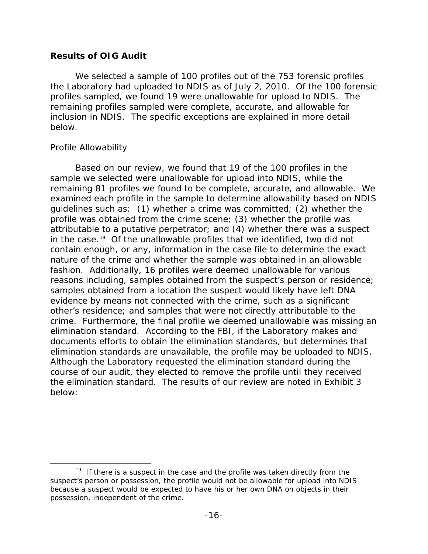### **Results of OIG Audit**

We selected a sample of 100 profiles out of the 753 forensic profiles the Laboratory had uploaded to NDIS as of July 2, 2010. Of the 100 forensic profiles sampled, we found 19 were unallowable for upload to NDIS. The remaining profiles sampled were complete, accurate, and allowable for inclusion in NDIS. The specific exceptions are explained in more detail below.

### *Profile Allowability*

Based on our review, we found that 19 of the 100 profiles in the sample we selected were unallowable for upload into NDIS, while the remaining 81 profiles we found to be complete, accurate, and allowable. We examined each profile in the sample to determine allowability based on NDIS guidelines such as: (1) whether a crime was committed; (2) whether the profile was obtained from the crime scene; (3) whether the profile was attributable to a putative perpetrator; and (4) whether there was a suspect in the case.<sup>[19](#page-20-0)</sup> Of the unallowable profiles that we identified, two did not contain enough, or any, information in the case file to determine the exact nature of the crime and whether the sample was obtained in an allowable fashion. Additionally, 16 profiles were deemed unallowable for various reasons including, samples obtained from the suspect's person or residence; samples obtained from a location the suspect would likely have left DNA evidence by means not connected with the crime, such as a significant other's residence; and samples that were not directly attributable to the crime. Furthermore, the final profile we deemed unallowable was missing an elimination standard. According to the FBI, if the Laboratory makes and documents efforts to obtain the elimination standards, but determines that elimination standards are unavailable, the profile may be uploaded to NDIS. Although the Laboratory requested the elimination standard during the course of our audit, they elected to remove the profile until they received the elimination standard. The results of our review are noted in Exhibit 3 below:

<span id="page-20-0"></span> $19$  If there is a suspect in the case and the profile was taken directly from the suspect's person or possession, the profile would not be allowable for upload into NDIS because a suspect would be expected to have his or her own DNA on objects in their possession, independent of the crime.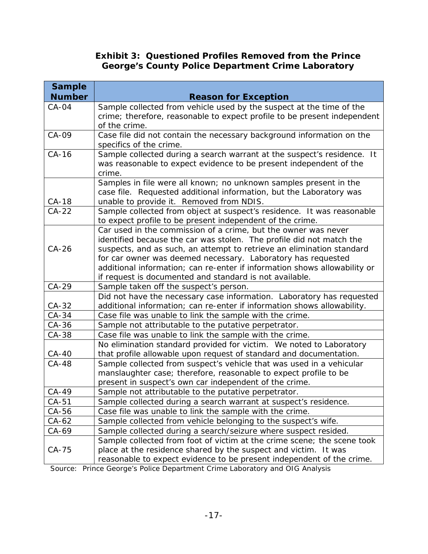## **Exhibit 3: Questioned Profiles Removed from the Prince George's County Police Department Crime Laboratory**

| <b>Sample</b>  |                                                                                                                                          |  |  |
|----------------|------------------------------------------------------------------------------------------------------------------------------------------|--|--|
| <b>Number</b>  | <b>Reason for Exception</b>                                                                                                              |  |  |
| CA-04          | Sample collected from vehicle used by the suspect at the time of the                                                                     |  |  |
|                | crime; therefore, reasonable to expect profile to be present independent                                                                 |  |  |
|                | of the crime.                                                                                                                            |  |  |
| CA-09          | Case file did not contain the necessary background information on the<br>specifics of the crime.                                         |  |  |
| $CA-16$        | Sample collected during a search warrant at the suspect's residence. It                                                                  |  |  |
|                | was reasonable to expect evidence to be present independent of the                                                                       |  |  |
|                | crime.                                                                                                                                   |  |  |
|                | Samples in file were all known; no unknown samples present in the                                                                        |  |  |
|                | case file. Requested additional information, but the Laboratory was                                                                      |  |  |
| CA-18          | unable to provide it. Removed from NDIS.                                                                                                 |  |  |
| $CA-22$        | Sample collected from object at suspect's residence. It was reasonable                                                                   |  |  |
|                | to expect profile to be present independent of the crime.                                                                                |  |  |
|                | Car used in the commission of a crime, but the owner was never                                                                           |  |  |
|                | identified because the car was stolen. The profile did not match the                                                                     |  |  |
| $CA-26$        | suspects, and as such, an attempt to retrieve an elimination standard                                                                    |  |  |
|                | for car owner was deemed necessary. Laboratory has requested                                                                             |  |  |
|                | additional information; can re-enter if information shows allowability or                                                                |  |  |
|                | if request is documented and standard is not available.                                                                                  |  |  |
| CA-29          | Sample taken off the suspect's person.                                                                                                   |  |  |
|                | Did not have the necessary case information. Laboratory has requested                                                                    |  |  |
| CA-32<br>CA-34 | additional information; can re-enter if information shows allowability.                                                                  |  |  |
|                | Case file was unable to link the sample with the crime.                                                                                  |  |  |
| CA-36          | Sample not attributable to the putative perpetrator.                                                                                     |  |  |
| CA-38          | Case file was unable to link the sample with the crime.                                                                                  |  |  |
|                | No elimination standard provided for victim. We noted to Laboratory                                                                      |  |  |
| CA-40<br>CA-48 | that profile allowable upon request of standard and documentation.                                                                       |  |  |
|                | Sample collected from suspect's vehicle that was used in a vehicular<br>manslaughter case; therefore, reasonable to expect profile to be |  |  |
|                | present in suspect's own car independent of the crime.                                                                                   |  |  |
| CA-49          | Sample not attributable to the putative perpetrator.                                                                                     |  |  |
| $CA-51$        | Sample collected during a search warrant at suspect's residence.                                                                         |  |  |
| CA-56          | Case file was unable to link the sample with the crime.                                                                                  |  |  |
| CA-62          | Sample collected from vehicle belonging to the suspect's wife.                                                                           |  |  |
| CA-69          | Sample collected during a search/seizure where suspect resided.                                                                          |  |  |
|                | Sample collected from foot of victim at the crime scene; the scene took                                                                  |  |  |
| CA-75          | place at the residence shared by the suspect and victim. It was                                                                          |  |  |
|                | reasonable to expect evidence to be present independent of the crime.                                                                    |  |  |
| Source:        | Prince George's Police Department Crime Laboratory and OIG Analysis                                                                      |  |  |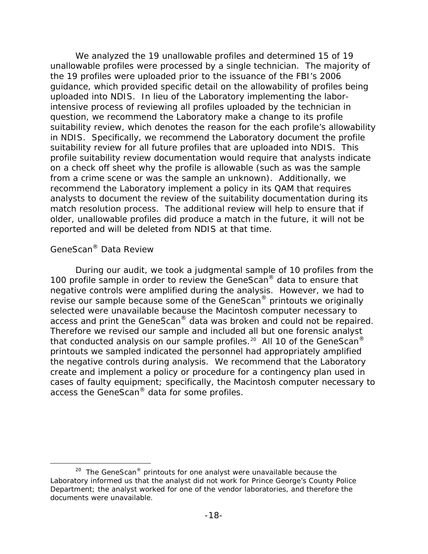We analyzed the 19 unallowable profiles and determined 15 of 19 unallowable profiles were processed by a single technician. The majority of the 19 profiles were uploaded prior to the issuance of the FBI's 2006 guidance, which provided specific detail on the allowability of profiles being uploaded into NDIS. In lieu of the Laboratory implementing the laborintensive process of reviewing all profiles uploaded by the technician in question, we recommend the Laboratory make a change to its profile suitability review, which denotes the reason for the each profile's allowability in NDIS. Specifically, we recommend the Laboratory document the profile suitability review for all future profiles that are uploaded into NDIS. This profile suitability review documentation would require that analysts indicate on a check off sheet why the profile is allowable (such as was the sample from a crime scene or was the sample an unknown). Additionally, we recommend the Laboratory implement a policy in its QAM that requires analysts to document the review of the suitability documentation during its match resolution process. The additional review will help to ensure that if older, unallowable profiles did produce a match in the future, it will not be reported and will be deleted from NDIS at that time.

### *GeneScan® Data Review*

During our audit, we took a judgmental sample of 10 profiles from the 100 profile sample in order to review the GeneScan® data to ensure that negative controls were amplified during the analysis. However, we had to revise our sample because some of the GeneScan® printouts we originally selected were unavailable because the Macintosh computer necessary to access and print the GeneScan® data was broken and could not be repaired. Therefore we revised our sample and included all but one forensic analyst that conducted analysis on our sample profiles.<sup>20</sup> All 10 of the GeneScan<sup>®</sup> printouts we sampled indicated the personnel had appropriately amplified the negative controls during analysis. We recommend that the Laboratory create and implement a policy or procedure for a contingency plan used in cases of faulty equipment; specifically, the Macintosh computer necessary to access the GeneScan® data for some profiles.

<span id="page-22-0"></span> $20$  The GeneScan® printouts for one analyst were unavailable because the Laboratory informed us that the analyst did not work for Prince George's County Police Department; the analyst worked for one of the vendor laboratories, and therefore the documents were unavailable.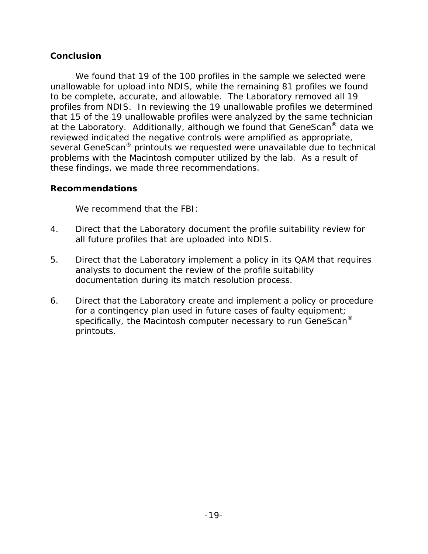### **Conclusion**

We found that 19 of the 100 profiles in the sample we selected were unallowable for upload into NDIS, while the remaining 81 profiles we found to be complete, accurate, and allowable. The Laboratory removed all 19 profiles from NDIS. In reviewing the 19 unallowable profiles we determined that 15 of the 19 unallowable profiles were analyzed by the same technician at the Laboratory. Additionally, although we found that GeneScan® data we reviewed indicated the negative controls were amplified as appropriate, several GeneScan® printouts we requested were unavailable due to technical problems with the Macintosh computer utilized by the lab. As a result of these findings, we made three recommendations.

### **Recommendations**

We recommend that the FBI:

- 4. Direct that the Laboratory document the profile suitability review for all future profiles that are uploaded into NDIS.
- 5. Direct that the Laboratory implement a policy in its QAM that requires analysts to document the review of the profile suitability documentation during its match resolution process.
- 6. Direct that the Laboratory create and implement a policy or procedure for a contingency plan used in future cases of faulty equipment; specifically, the Macintosh computer necessary to run GeneScan<sup>®</sup> printouts.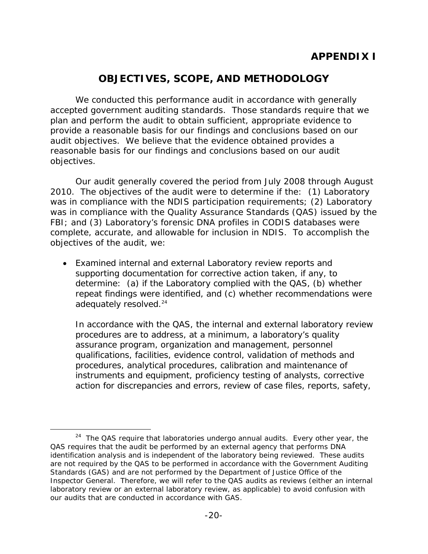# **OBJECTIVES, SCOPE, AND METHODOLOGY**

<span id="page-24-0"></span>We conducted this performance audit in accordance with generally accepted government auditing standards. Those standards require that we plan and perform the audit to obtain sufficient, appropriate evidence to provide a reasonable basis for our findings and conclusions based on our audit objectives. We believe that the evidence obtained provides a reasonable basis for our findings and conclusions based on our audit objectives.

Our audit generally covered the period from July 2008 through August 2010. The objectives of the audit were to determine if the: (1) Laboratory was in compliance with the NDIS participation requirements; (2) Laboratory was in compliance with the Quality Assurance Standards (QAS) issued by the FBI; and (3) Laboratory's forensic DNA profiles in CODIS databases were complete, accurate, and allowable for inclusion in NDIS. To accomplish the objectives of the audit, we:

• Examined internal and external Laboratory review reports and supporting documentation for corrective action taken, if any, to determine: (a) if the Laboratory complied with the QAS, (b) whether repeat findings were identified, and (c) whether recommendations were adequately resolved.<sup>[24](#page-24-1)</sup>

In accordance with the QAS, the internal and external laboratory review procedures are to address, at a minimum, a laboratory's quality assurance program, organization and management, personnel qualifications, facilities, evidence control, validation of methods and procedures, analytical procedures, calibration and maintenance of instruments and equipment, proficiency testing of analysts, corrective action for discrepancies and errors, review of case files, reports, safety,

<span id="page-24-1"></span> $24$  The QAS require that laboratories undergo annual audits. Every other year, the QAS requires that the audit be performed by an external agency that performs DNA identification analysis and is independent of the laboratory being reviewed. These audits are not required by the QAS to be performed in accordance with the *Government Auditing Standards* (GAS) and are not performed by the Department of Justice Office of the Inspector General. Therefore, we will refer to the QAS audits as reviews (either an internal laboratory review or an external laboratory review, as applicable) to avoid confusion with our audits that are conducted in accordance with GAS.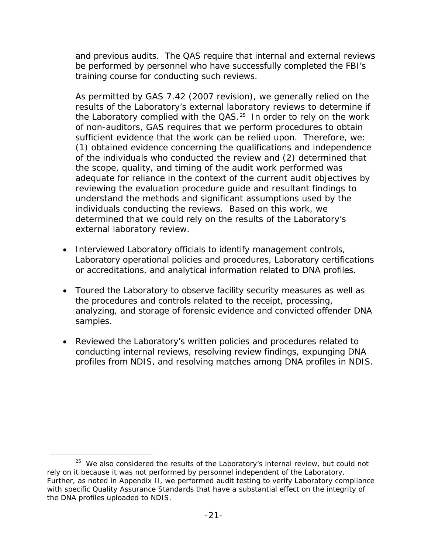and previous audits. The QAS require that internal and external reviews be performed by personnel who have successfully completed the FBI's training course for conducting such reviews.

As permitted by GAS 7.42 (2007 revision), we generally relied on the results of the Laboratory's external laboratory reviews to determine if the Laboratory complied with the  $QAS$ <sup>[25](#page-25-0)</sup> In order to rely on the work of non-auditors, GAS requires that we perform procedures to obtain sufficient evidence that the work can be relied upon. Therefore, we: (1) obtained evidence concerning the qualifications and independence of the individuals who conducted the review and (2) determined that the scope, quality, and timing of the audit work performed was adequate for reliance in the context of the current audit objectives by reviewing the evaluation procedure guide and resultant findings to understand the methods and significant assumptions used by the individuals conducting the reviews. Based on this work, we determined that we could rely on the results of the Laboratory's external laboratory review.

- Interviewed Laboratory officials to identify management controls, Laboratory operational policies and procedures, Laboratory certifications or accreditations, and analytical information related to DNA profiles.
- Toured the Laboratory to observe facility security measures as well as the procedures and controls related to the receipt, processing, analyzing, and storage of forensic evidence and convicted offender DNA samples.
- Reviewed the Laboratory's written policies and procedures related to conducting internal reviews, resolving review findings, expunging DNA profiles from NDIS, and resolving matches among DNA profiles in NDIS.

<span id="page-25-0"></span> $25$  We also considered the results of the Laboratory's internal review, but could not rely on it because it was not performed by personnel independent of the Laboratory. Further, as noted in Appendix II, we performed audit testing to verify Laboratory compliance with specific Quality Assurance Standards that have a substantial effect on the integrity of the DNA profiles uploaded to NDIS.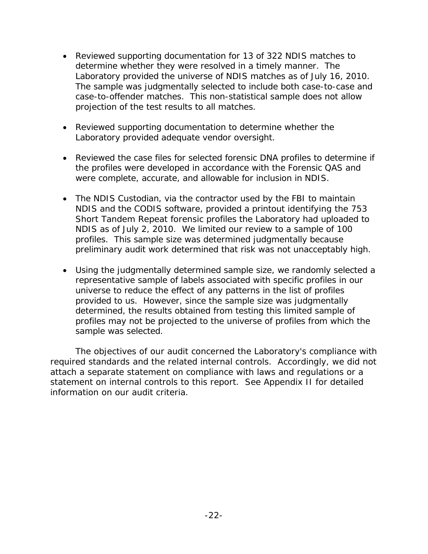- Reviewed supporting documentation for 13 of 322 NDIS matches to determine whether they were resolved in a timely manner. The Laboratory provided the universe of NDIS matches as of July 16, 2010. The sample was judgmentally selected to include both case-to-case and case-to-offender matches. This non-statistical sample does not allow projection of the test results to all matches.
- Reviewed supporting documentation to determine whether the Laboratory provided adequate vendor oversight.
- Reviewed the case files for selected forensic DNA profiles to determine if the profiles were developed in accordance with the Forensic QAS and were complete, accurate, and allowable for inclusion in NDIS.
- The NDIS Custodian, via the contractor used by the FBI to maintain NDIS and the CODIS software, provided a printout identifying the 753 Short Tandem Repeat forensic profiles the Laboratory had uploaded to NDIS as of July 2, 2010. We limited our review to a sample of 100 profiles. This sample size was determined judgmentally because preliminary audit work determined that risk was not unacceptably high.
- Using the judgmentally determined sample size, we randomly selected a representative sample of labels associated with specific profiles in our universe to reduce the effect of any patterns in the list of profiles provided to us. However, since the sample size was judgmentally determined, the results obtained from testing this limited sample of profiles may not be projected to the universe of profiles from which the sample was selected.

The objectives of our audit concerned the Laboratory's compliance with required standards and the related internal controls. Accordingly, we did not attach a separate statement on compliance with laws and regulations or a statement on internal controls to this report. See Appendix II for detailed information on our audit criteria.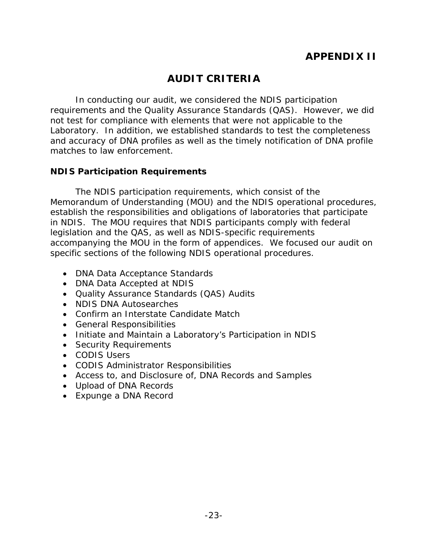# **AUDIT CRITERIA**

<span id="page-27-0"></span>In conducting our audit, we considered the NDIS participation requirements and the Quality Assurance Standards (QAS). However, we did not test for compliance with elements that were not applicable to the Laboratory. In addition, we established standards to test the completeness and accuracy of DNA profiles as well as the timely notification of DNA profile matches to law enforcement.

### <span id="page-27-1"></span>**NDIS Participation Requirements**

The NDIS participation requirements, which consist of the Memorandum of Understanding (MOU) and the NDIS operational procedures, establish the responsibilities and obligations of laboratories that participate in NDIS. The MOU requires that NDIS participants comply with federal legislation and the QAS, as well as NDIS-specific requirements accompanying the MOU in the form of appendices. We focused our audit on specific sections of the following NDIS operational procedures.

- DNA Data Acceptance Standards
- DNA Data Accepted at NDIS
- Quality Assurance Standards (QAS) Audits
- NDIS DNA Autosearches
- Confirm an Interstate Candidate Match
- General Responsibilities
- Initiate and Maintain a Laboratory's Participation in NDIS
- Security Requirements
- CODIS Users
- CODIS Administrator Responsibilities
- Access to, and Disclosure of, DNA Records and Samples
- Upload of DNA Records
- Expunge a DNA Record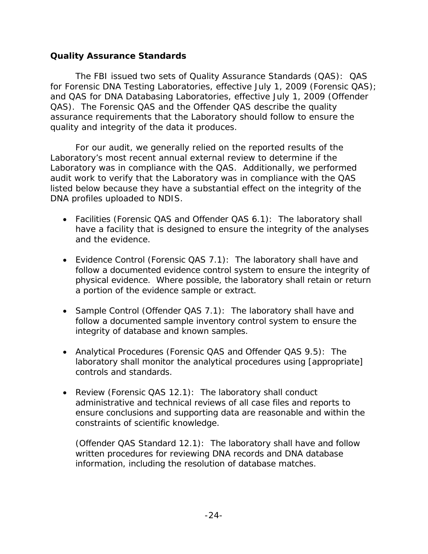### <span id="page-28-0"></span>**Quality Assurance Standards**

The FBI issued two sets of Quality Assurance Standards (QAS): QAS for Forensic DNA Testing Laboratories, effective July 1, 2009 (Forensic QAS); and QAS for DNA Databasing Laboratories, effective July 1, 2009 (Offender QAS). The Forensic QAS and the Offender QAS describe the quality assurance requirements that the Laboratory should follow to ensure the quality and integrity of the data it produces.

For our audit, we generally relied on the reported results of the Laboratory's most recent annual external review to determine if the Laboratory was in compliance with the QAS. Additionally, we performed audit work to verify that the Laboratory was in compliance with the QAS listed below because they have a substantial effect on the integrity of the DNA profiles uploaded to NDIS.

- Facilities (Forensic QAS and Offender QAS 6.1): The laboratory shall have a facility that is designed to ensure the integrity of the analyses and the evidence.
- Evidence Control (Forensic QAS 7.1): The laboratory shall have and follow a documented evidence control system to ensure the integrity of physical evidence. Where possible, the laboratory shall retain or return a portion of the evidence sample or extract.
- Sample Control (Offender QAS 7.1): The laboratory shall have and follow a documented sample inventory control system to ensure the integrity of database and known samples.
- Analytical Procedures (Forensic QAS and Offender QAS 9.5): The laboratory shall monitor the analytical procedures using [appropriate] controls and standards.
- Review (Forensic QAS 12.1): The laboratory shall conduct administrative and technical reviews of all case files and reports to ensure conclusions and supporting data are reasonable and within the constraints of scientific knowledge.

(Offender QAS Standard 12.1): The laboratory shall have and follow written procedures for reviewing DNA records and DNA database information, including the resolution of database matches.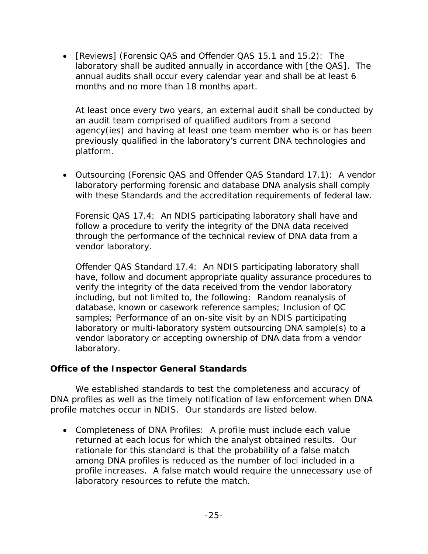• [Reviews] (Forensic QAS and Offender QAS 15.1 and 15.2): The laboratory shall be audited annually in accordance with [the QAS]. The annual audits shall occur every calendar year and shall be at least 6 months and no more than 18 months apart.

At least once every two years, an external audit shall be conducted by an audit team comprised of qualified auditors from a second agency(ies) and having at least one team member who is or has been previously qualified in the laboratory's current DNA technologies and platform.

• Outsourcing (Forensic QAS and Offender QAS Standard 17.1): A vendor laboratory performing forensic and database DNA analysis shall comply with these Standards and the accreditation requirements of federal law.

Forensic QAS 17.4: An NDIS participating laboratory shall have and follow a procedure to verify the integrity of the DNA data received through the performance of the technical review of DNA data from a vendor laboratory.

Offender QAS Standard 17.4: An NDIS participating laboratory shall have, follow and document appropriate quality assurance procedures to verify the integrity of the data received from the vendor laboratory including, but not limited to, the following: Random reanalysis of database, known or casework reference samples; Inclusion of QC samples; Performance of an on-site visit by an NDIS participating laboratory or multi-laboratory system outsourcing DNA sample(s) to a vendor laboratory or accepting ownership of DNA data from a vendor laboratory.

## <span id="page-29-0"></span>**Office of the Inspector General Standards**

We established standards to test the completeness and accuracy of DNA profiles as well as the timely notification of law enforcement when DNA profile matches occur in NDIS. Our standards are listed below.

• Completeness of DNA Profiles: A profile must include each value returned at each locus for which the analyst obtained results. Our rationale for this standard is that the probability of a false match among DNA profiles is reduced as the number of loci included in a profile increases. A false match would require the unnecessary use of laboratory resources to refute the match.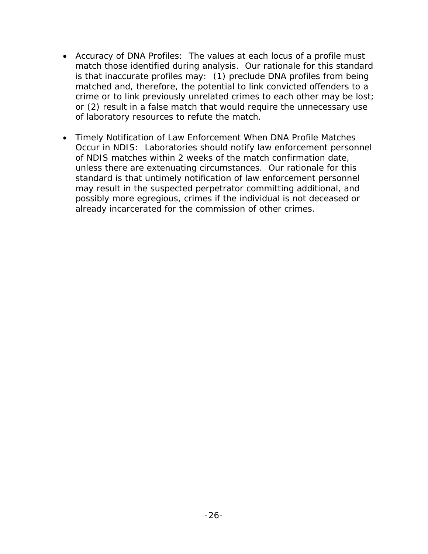- Accuracy of DNA Profiles: The values at each locus of a profile must match those identified during analysis. Our rationale for this standard is that inaccurate profiles may: (1) preclude DNA profiles from being matched and, therefore, the potential to link convicted offenders to a crime or to link previously unrelated crimes to each other may be lost; or (2) result in a false match that would require the unnecessary use of laboratory resources to refute the match.
- Timely Notification of Law Enforcement When DNA Profile Matches Occur in NDIS: Laboratories should notify law enforcement personnel of NDIS matches within 2 weeks of the match confirmation date, unless there are extenuating circumstances. Our rationale for this standard is that untimely notification of law enforcement personnel may result in the suspected perpetrator committing additional, and possibly more egregious, crimes if the individual is not deceased or already incarcerated for the commission of other crimes.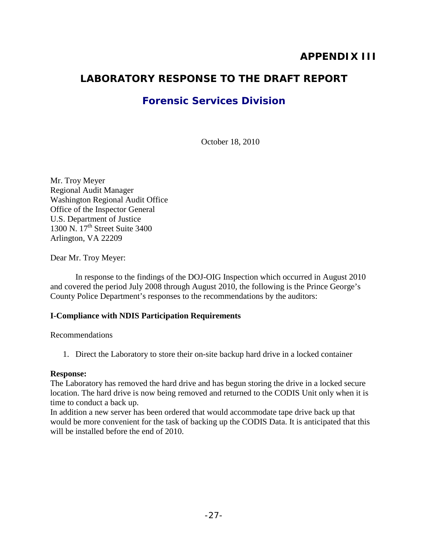## **APPENDIX III**

## <span id="page-31-0"></span>**LABORATORY RESPONSE TO THE DRAFT REPORT**

## **Forensic Services Division**

October 18, 2010

Mr. Troy Meyer Regional Audit Manager Washington Regional Audit Office Office of the Inspector General U.S. Department of Justice 1300 N. 17<sup>th</sup> Street Suite 3400 Arlington, VA 22209

Dear Mr. Troy Meyer:

 In response to the findings of the DOJ-OIG Inspection which occurred in August 2010 and covered the period July 2008 through August 2010, the following is the Prince George's County Police Department's responses to the recommendations by the auditors:

#### **I-Compliance with NDIS Participation Requirements**

#### Recommendations

1. Direct the Laboratory to store their on-site backup hard drive in a locked container

#### **Response:**

The Laboratory has removed the hard drive and has begun storing the drive in a locked secure location. The hard drive is now being removed and returned to the CODIS Unit only when it is time to conduct a back up.

In addition a new server has been ordered that would accommodate tape drive back up that would be more convenient for the task of backing up the CODIS Data. It is anticipated that this will be installed before the end of 2010.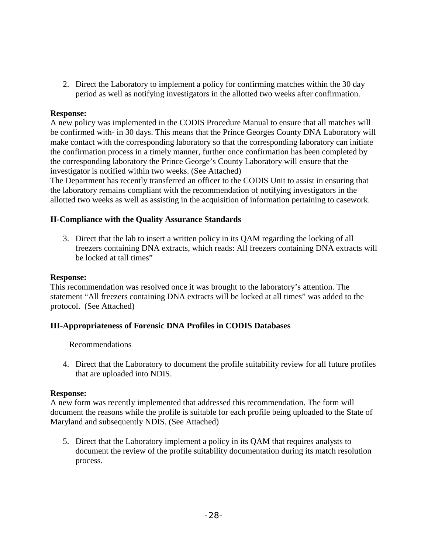2. Direct the Laboratory to implement a policy for confirming matches within the 30 day period as well as notifying investigators in the allotted two weeks after confirmation.

#### **Response:**

A new policy was implemented in the CODIS Procedure Manual to ensure that all matches will be confirmed with- in 30 days. This means that the Prince Georges County DNA Laboratory will make contact with the corresponding laboratory so that the corresponding laboratory can initiate the confirmation process in a timely manner, further once confirmation has been completed by the corresponding laboratory the Prince George's County Laboratory will ensure that the investigator is notified within two weeks. (See Attached)

The Department has recently transferred an officer to the CODIS Unit to assist in ensuring that the laboratory remains compliant with the recommendation of notifying investigators in the allotted two weeks as well as assisting in the acquisition of information pertaining to casework.

#### **II-Compliance with the Quality Assurance Standards**

3. Direct that the lab to insert a written policy in its QAM regarding the locking of all freezers containing DNA extracts, which reads: All freezers containing DNA extracts will be locked at tall times"

#### **Response:**

This recommendation was resolved once it was brought to the laboratory's attention. The statement "All freezers containing DNA extracts will be locked at all times" was added to the protocol. (See Attached)

#### **III-Appropriateness of Forensic DNA Profiles in CODIS Databases**

Recommendations

4. Direct that the Laboratory to document the profile suitability review for all future profiles that are uploaded into NDIS.

#### **Response:**

A new form was recently implemented that addressed this recommendation. The form will document the reasons while the profile is suitable for each profile being uploaded to the State of Maryland and subsequently NDIS. (See Attached)

5. Direct that the Laboratory implement a policy in its QAM that requires analysts to document the review of the profile suitability documentation during its match resolution process.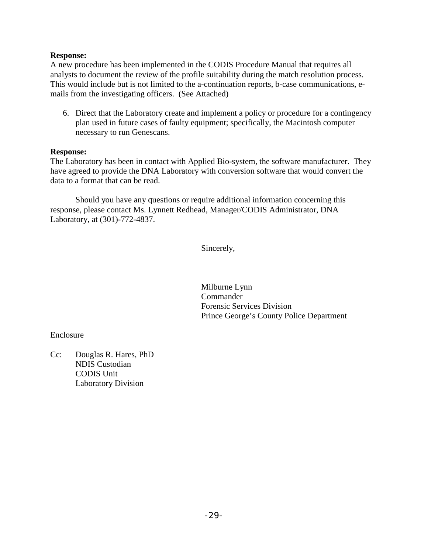#### **Response:**

A new procedure has been implemented in the CODIS Procedure Manual that requires all analysts to document the review of the profile suitability during the match resolution process. This would include but is not limited to the a-continuation reports, b-case communications, emails from the investigating officers. (See Attached)

6. Direct that the Laboratory create and implement a policy or procedure for a contingency plan used in future cases of faulty equipment; specifically, the Macintosh computer necessary to run Genescans.

#### **Response:**

The Laboratory has been in contact with Applied Bio-system, the software manufacturer. They have agreed to provide the DNA Laboratory with conversion software that would convert the data to a format that can be read.

Should you have any questions or require additional information concerning this response, please contact Ms. Lynnett Redhead, Manager/CODIS Administrator, DNA Laboratory, at (301)-772-4837.

Sincerely,

Milburne Lynn Commander Forensic Services Division Prince George's County Police Department

Enclosure

Cc: Douglas R. Hares, PhD NDIS Custodian CODIS Unit Laboratory Division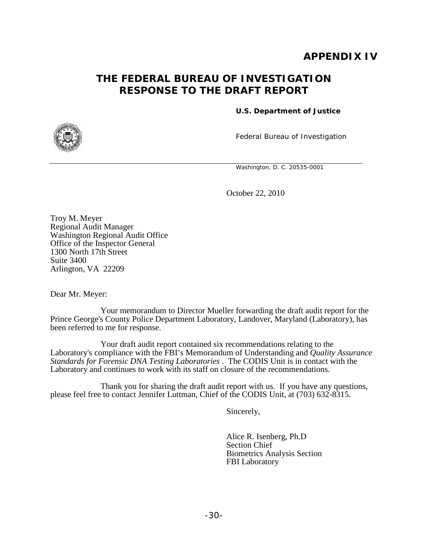## **APPENDIX IV**

## <span id="page-34-0"></span>**THE FEDERAL BUREAU OF INVESTIGATION RESPONSE TO THE DRAFT REPORT**

**U.S. Department of Justice**

<span id="page-34-1"></span>

Federal Bureau of Investigation

Washington, D. C. 20535-0001

October 22, 2010

Troy M. Meyer Regional Audit Manager Washington Regional Audit Office Office of the Inspector General 1300 North 17th Street Suite 3400 Arlington, VA 22209

Dear Mr. Meyer:

Your memorandum to Director Mueller forwarding the draft audit report for the Prince George's County Police Department Laboratory, Landover, Maryland (Laboratory), has been referred to me for response.

Your draft audit report contained six recommendations relating to the Laboratory's compliance with the FBI's Memorandum of Understanding and *Quality Assurance Standards for Forensic DNA Testing Laboratories* . The CODIS Unit is in contact with the Laboratory and continues to work with its staff on closure of the recommendations.

Thank you for sharing the draft audit report with us. If you have any questions, please feel free to contact Jennifer Luttman, Chief of the CODIS Unit, at (703) 632-8315.

Sincerely,

Alice R. Isenberg, Ph.D Section Chief Biometrics Analysis Section FBI Laboratory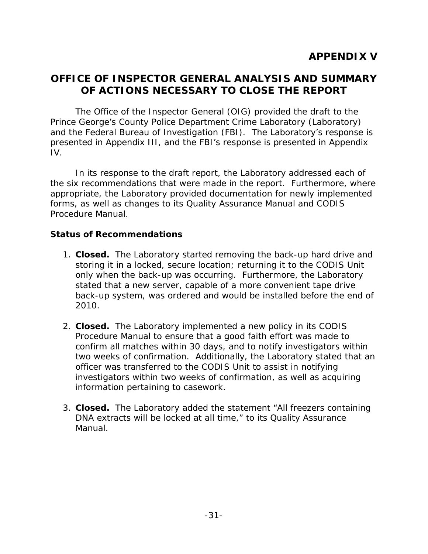## <span id="page-35-0"></span>**OFFICE OF INSPECTOR GENERAL ANALYSIS AND SUMMARY OF ACTIONS NECESSARY TO CLOSE THE REPORT**

The Office of the Inspector General (OIG) provided the draft to the Prince George's County Police Department Crime Laboratory (Laboratory) and the Federal Bureau of Investigation (FBI). The Laboratory's response is presented in Appendix III, and the FBI's response is presented in Appendix IV.

In its response to the draft report, the Laboratory addressed each of the six recommendations that were made in the report. Furthermore, where appropriate, the Laboratory provided documentation for newly implemented forms, as well as changes to its Quality Assurance Manual and CODIS Procedure Manual.

### **Status of Recommendations**

- 1. **Closed.** The Laboratory started removing the back-up hard drive and storing it in a locked, secure location; returning it to the CODIS Unit only when the back-up was occurring. Furthermore, the Laboratory stated that a new server, capable of a more convenient tape drive back-up system, was ordered and would be installed before the end of 2010.
- 2. **Closed.** The Laboratory implemented a new policy in its CODIS Procedure Manual to ensure that a good faith effort was made to confirm all matches within 30 days, and to notify investigators within two weeks of confirmation. Additionally, the Laboratory stated that an officer was transferred to the CODIS Unit to assist in notifying investigators within two weeks of confirmation, as well as acquiring information pertaining to casework.
- 3. **Closed.** The Laboratory added the statement "All freezers containing DNA extracts will be locked at all time," to its Quality Assurance Manual.